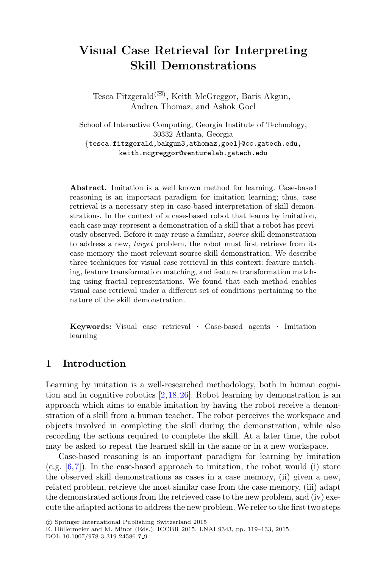# **Visual Case Retrieval for Interpreting Skill Demonstrations**

Tesca Fitzgerald<sup>( $\boxtimes$ )</sup>, Keith McGreggor, Baris Akgun, Andrea Thomaz, and Ashok Goel

School of Interactive Computing, Georgia Institute of Technology, 30332 Atlanta, Georgia *{*tesca.fitzgerald,bakgun3,athomaz,goel*}*@cc.gatech.edu, keith.mcgreggor@venturelab.gatech.edu

**Abstract.** Imitation is a well known method for learning. Case-based reasoning is an important paradigm for imitation learning; thus, case retrieval is a necessary step in case-based interpretation of skill demonstrations. In the context of a case-based robot that learns by imitation, each case may represent a demonstration of a skill that a robot has previously observed. Before it may reuse a familiar, *source* skill demonstration to address a new, *target* problem, the robot must first retrieve from its case memory the most relevant source skill demonstration. We describe three techniques for visual case retrieval in this context: feature matching, feature transformation matching, and feature transformation matching using fractal representations. We found that each method enables visual case retrieval under a different set of conditions pertaining to the nature of the skill demonstration.

**Keywords:** Visual case retrieval · Case-based agents · Imitation learning

### **1 Introduction**

Learning by imitation is a well-researched methodology, both in human cognition and in cognitive robotics  $[2,18,26]$  $[2,18,26]$  $[2,18,26]$  $[2,18,26]$ . Robot learning by demonstration is an approach which aims to enable imitation by having the robot receive a demonstration of a skill from a human teacher. The robot perceives the workspace and objects involved in completing the skill during the demonstration, while also recording the actions required to complete the skill. At a later time, the robot may be asked to repeat the learned skill in the same or in a new workspace.

Case-based reasoning is an important paradigm for learning by imitation (e.g.  $[6,7]$  $[6,7]$  $[6,7]$ ). In the case-based approach to imitation, the robot would (i) store the observed skill demonstrations as cases in a case memory, (ii) given a new, related problem, retrieve the most similar case from the case memory, (iii) adapt the demonstrated actions from the retrieved case to the new problem, and (iv) execute the adapted actions to address the new problem. We refer to the first two steps

<sup>-</sup>c Springer International Publishing Switzerland 2015

E. Hüllermeier and M. Minor (Eds.): ICCBR 2015, LNAI 9343, pp. 119–133, 2015. DOI: 10.1007/978-3-319-24586-7<sub>-9</sub>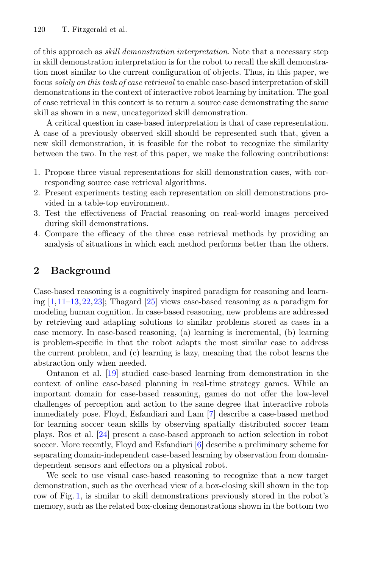of this approach as *skill demonstration interpretation*. Note that a necessary step in skill demonstration interpretation is for the robot to recall the skill demonstration most similar to the current configuration of objects. Thus, in this paper, we focus *solely on this task of case retrieval* to enable case-based interpretation of skill demonstrations in the context of interactive robot learning by imitation. The goal of case retrieval in this context is to return a source case demonstrating the same skill as shown in a new, uncategorized skill demonstration.

A critical question in case-based interpretation is that of case representation. A case of a previously observed skill should be represented such that, given a new skill demonstration, it is feasible for the robot to recognize the similarity between the two. In the rest of this paper, we make the following contributions:

- 1. Propose three visual representations for skill demonstration cases, with corresponding source case retrieval algorithms.
- 2. Present experiments testing each representation on skill demonstrations provided in a table-top environment.
- 3. Test the effectiveness of Fractal reasoning on real-world images perceived during skill demonstrations.
- 4. Compare the efficacy of the three case retrieval methods by providing an analysis of situations in which each method performs better than the others.

## **2 Background**

Case-based reasoning is a cognitively inspired paradigm for reasoning and learning [\[1,](#page-12-1)[11](#page-13-3)[–13](#page-13-4)[,22](#page-13-5),[23\]](#page-13-6); Thagard [\[25](#page-14-1)] views case-based reasoning as a paradigm for modeling human cognition. In case-based reasoning, new problems are addressed by retrieving and adapting solutions to similar problems stored as cases in a case memory. In case-based reasoning, (a) learning is incremental, (b) learning is problem-specific in that the robot adapts the most similar case to address the current problem, and (c) learning is lazy, meaning that the robot learns the abstraction only when needed.

Ontanon et al. [\[19](#page-13-7)] studied case-based learning from demonstration in the context of online case-based planning in real-time strategy games. While an important domain for case-based reasoning, games do not offer the low-level challenges of perception and action to the same degree that interactive robots immediately pose. Floyd, Esfandiari and Lam [\[7](#page-13-2)] describe a case-based method for learning soccer team skills by observing spatially distributed soccer team plays. Ros et al. [\[24\]](#page-13-8) present a case-based approach to action selection in robot soccer. More recently, Floyd and Esfandiari [\[6](#page-13-1)] describe a preliminary scheme for separating domain-independent case-based learning by observation from domaindependent sensors and effectors on a physical robot.

We seek to use visual case-based reasoning to recognize that a new target demonstration, such as the overhead view of a box-closing skill shown in the top row of Fig. [1,](#page-2-0) is similar to skill demonstrations previously stored in the robot's memory, such as the related box-closing demonstrations shown in the bottom two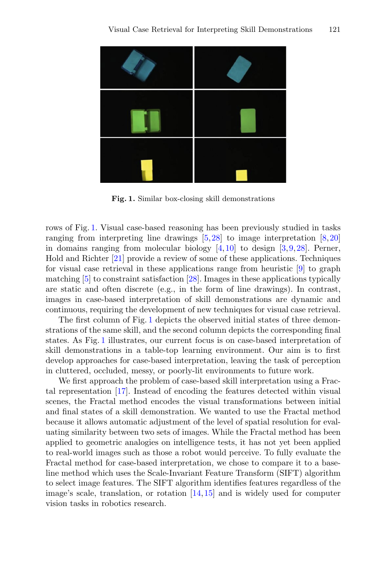

**Fig. 1.** Similar box-closing skill demonstrations

<span id="page-2-0"></span>rows of Fig. [1.](#page-2-0) Visual case-based reasoning has been previously studied in tasks ranging from interpreting line drawings  $[5,28]$  $[5,28]$  $[5,28]$  to image interpretation  $[8,20]$  $[8,20]$ in domains ranging from molecular biology  $[4,10]$  $[4,10]$  $[4,10]$  to design  $[3,9,28]$  $[3,9,28]$  $[3,9,28]$  $[3,9,28]$ . Perner, Hold and Richter [\[21](#page-13-16)] provide a review of some of these applications. Techniques for visual case retrieval in these applications range from heuristic [\[9](#page-13-15)] to graph matching [\[5\]](#page-13-9) to constraint satisfaction [\[28](#page-14-2)]. Images in these applications typically are static and often discrete (e.g., in the form of line drawings). In contrast, images in case-based interpretation of skill demonstrations are dynamic and continuous, requiring the development of new techniques for visual case retrieval.

The first column of Fig. [1](#page-2-0) depicts the observed initial states of three demonstrations of the same skill, and the second column depicts the corresponding final states. As Fig. [1](#page-2-0) illustrates, our current focus is on case-based interpretation of skill demonstrations in a table-top learning environment. Our aim is to first develop approaches for case-based interpretation, leaving the task of perception in cluttered, occluded, messy, or poorly-lit environments to future work.

We first approach the problem of case-based skill interpretation using a Fractal representation [\[17](#page-13-17)]. Instead of encoding the features detected within visual scenes, the Fractal method encodes the visual transformations between initial and final states of a skill demonstration. We wanted to use the Fractal method because it allows automatic adjustment of the level of spatial resolution for evaluating similarity between two sets of images. While the Fractal method has been applied to geometric analogies on intelligence tests, it has not yet been applied to real-world images such as those a robot would perceive. To fully evaluate the Fractal method for case-based interpretation, we chose to compare it to a baseline method which uses the Scale-Invariant Feature Transform (SIFT) algorithm to select image features. The SIFT algorithm identifies features regardless of the image's scale, translation, or rotation [\[14](#page-13-18)[,15](#page-13-19)] and is widely used for computer vision tasks in robotics research.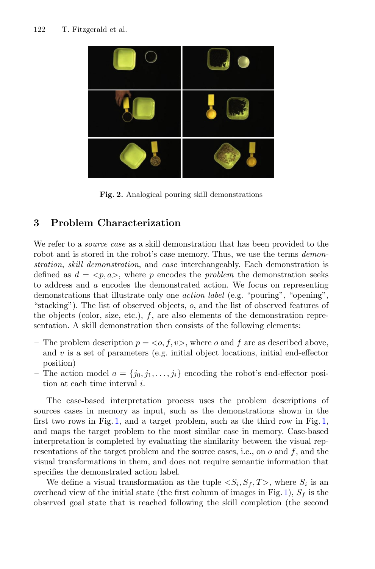

**Fig. 2.** Analogical pouring skill demonstrations

## <span id="page-3-0"></span>**3 Problem Characterization**

We refer to a *source case* as a skill demonstration that has been provided to the robot and is stored in the robot's case memory. Thus, we use the terms *demonstration*, *skill demonstration*, and *case* interchangeably. Each demonstration is defined as  $d = \langle p, a \rangle$ , where p encodes the *problem* the demonstration seeks to address and a encodes the demonstrated action. We focus on representing demonstrations that illustrate only one *action label* (e.g. "pouring", "opening", "stacking"). The list of observed objects, o, and the list of observed features of the objects (color, size, etc.), f, are also elements of the demonstration representation. A skill demonstration then consists of the following elements:

- The problem description  $p = \langle o, f, v \rangle$ , where o and f are as described above, and  $v$  is a set of parameters (e.g. initial object locations, initial end-effector position)
- The action model  $a = \{j_0, j_1, \ldots, j_i\}$  encoding the robot's end-effector position at each time interval i.

The case-based interpretation process uses the problem descriptions of sources cases in memory as input, such as the demonstrations shown in the first two rows in Fig. [1,](#page-2-0) and a target problem, such as the third row in Fig. [1,](#page-2-0) and maps the target problem to the most similar case in memory. Case-based interpretation is completed by evaluating the similarity between the visual representations of the target problem and the source cases, i.e., on  $o$  and  $f$ , and the visual transformations in them, and does not require semantic information that specifies the demonstrated action label.

We define a visual transformation as the tuple  $\langle S_i, S_f, T \rangle$ , where  $S_i$  is an overhead view of the initial state (the first column of images in Fig. [1\)](#page-2-0),  $S_f$  is the observed goal state that is reached following the skill completion (the second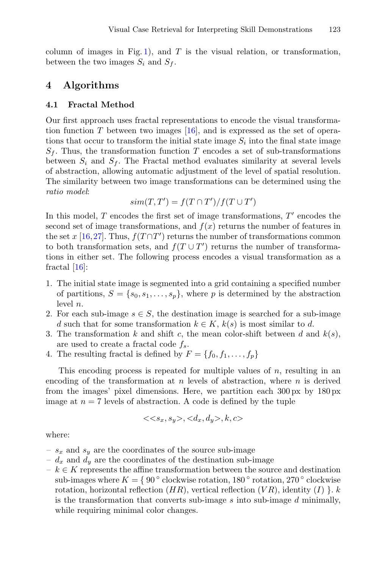column of images in Fig. [1\)](#page-2-0), and T is the visual relation, or transformation, between the two images  $S_i$  and  $S_f$ .

### **4 Algorithms**

#### **4.1 Fractal Method**

Our first approach uses fractal representations to encode the visual transformation function T between two images  $[16]$  $[16]$ , and is expressed as the set of operations that occur to transform the initial state image  $S_i$  into the final state image  $S_f$ . Thus, the transformation function T encodes a set of sub-transformations between  $S_i$  and  $S_f$ . The Fractal method evaluates similarity at several levels of abstraction, allowing automatic adjustment of the level of spatial resolution. The similarity between two image transformations can be determined using the *ratio model*:

$$
sim(T, T') = f(T \cap T') / f(T \cup T')
$$

In this model,  $T$  encodes the first set of image transformations,  $T'$  encodes the second set of image transformations, and  $f(x)$  returns the number of features in the set x [\[16](#page-13-20)[,27](#page-14-3)]. Thus,  $f(T \cap T')$  returns the number of transformations common to both transformation sets, and  $f(T \cup T')$  returns the number of transformations in either set. The following process encodes a visual transformation as a fractal  $[16]$ :

- 1. The initial state image is segmented into a grid containing a specified number of partitions,  $S = \{s_0, s_1, \ldots, s_n\}$ , where p is determined by the abstraction level n.
- 2. For each sub-image  $s \in S$ , the destination image is searched for a sub-image d such that for some transformation  $k \in K$ ,  $k(s)$  is most similar to d.
- 3. The transformation k and shift c, the mean color-shift between d and  $k(s)$ , are used to create a fractal code f*s*.
- 4. The resulting fractal is defined by  $F = \{f_0, f_1, \ldots, f_p\}$

This encoding process is repeated for multiple values of  $n$ , resulting in an encoding of the transformation at  $n$  levels of abstraction, where  $n$  is derived from the images' pixel dimensions. Here, we partition each 300 px by 180 px image at  $n = 7$  levels of abstraction. A code is defined by the tuple

$$
<<\!\!s_x,s_y\!\!>,<\!\!d_x,d_y\!\!>,k,c\!\!>
$$

where:

- $s_x$  and  $s_y$  are the coordinates of the source sub-image
- $d_x$  and  $d_y$  are the coordinates of the destination sub-image
- $-k \in K$  represents the affine transformation between the source and destination sub-images where  $K = \{90^{\circ}$  clockwise rotation, 180 $^{\circ}$  rotation, 270 $^{\circ}$  clockwise rotation, horizontal reflection  $(HR)$ , vertical reflection  $(VR)$ , identity  $(I)$ . is the transformation that converts sub-image  $s$  into sub-image  $d$  minimally, while requiring minimal color changes.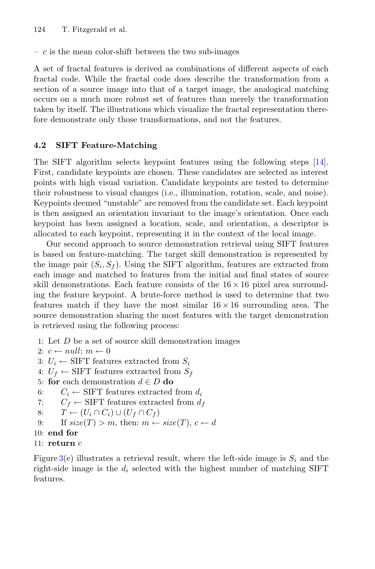$- c$  is the mean color-shift between the two sub-images

A set of fractal features is derived as combinations of different aspects of each fractal code. While the fractal code does describe the transformation from a section of a source image into that of a target image, the analogical matching occurs on a much more robust set of features than merely the transformation taken by itself. The illustrations which visualize the fractal representation therefore demonstrate only those transformations, and not the features.

## **4.2 SIFT Feature-Matching**

The SIFT algorithm selects keypoint features using the following steps [\[14\]](#page-13-18). First, candidate keypoints are chosen. These candidates are selected as interest points with high visual variation. Candidate keypoints are tested to determine their robustness to visual changes (i.e., illumination, rotation, scale, and noise). Keypoints deemed "unstable" are removed from the candidate set. Each keypoint is then assigned an orientation invariant to the image's orientation. Once each keypoint has been assigned a location, scale, and orientation, a descriptor is allocated to each keypoint, representing it in the context of the local image.

Our second approach to source demonstration retrieval using SIFT features is based on feature-matching. The target skill demonstration is represented by the image pair  $(S_i, S_f)$ . Using the SIFT algorithm, features are extracted from each image and matched to features from the initial and final states of source skill demonstrations. Each feature consists of the  $16 \times 16$  pixel area surrounding the feature keypoint. A brute-force method is used to determine that two features match if they have the most similar  $16 \times 16$  surrounding area. The source demonstration sharing the most features with the target demonstration is retrieved using the following process:

- 1: Let D be a set of source skill demonstration images
- 2:  $c \leftarrow null$ ;  $m \leftarrow 0$
- 3:  $U_i \leftarrow$  SIFT features extracted from  $S_i$
- 4:  $U_f \leftarrow$  SIFT features extracted from  $S_f$
- 5: **for** each demonstration  $d \in D$  **do**<br>6:  $C_i \leftarrow$  SIFT features extracted
- 6:  $C_i \leftarrow$  SIFT features extracted from  $d_i$ <br>7:  $C_f \leftarrow$  SIFT features extracted from d
- 7:  $C_f \leftarrow$  SIFT features extracted from  $d_f$ <br>8:  $T \leftarrow (U_i \cap C_i) \cup (U_f \cap C_f)$
- 8:  $T \leftarrow (U_i \cap C_i) \cup (U_f \cap C_f)$ <br>9: If  $size(T) > m$ , then:  $m \leftarrow$
- If  $size(T) > m$ , then:  $m \leftarrow size(T)$ ,  $c \leftarrow d$
- 10: **end for**
- 11: **return** c

Figure  $3(e)$  $3(e)$  illustrates a retrieval result, where the left-side image is  $S_i$  and the right-side image is the d*<sup>i</sup>* selected with the highest number of matching SIFT features.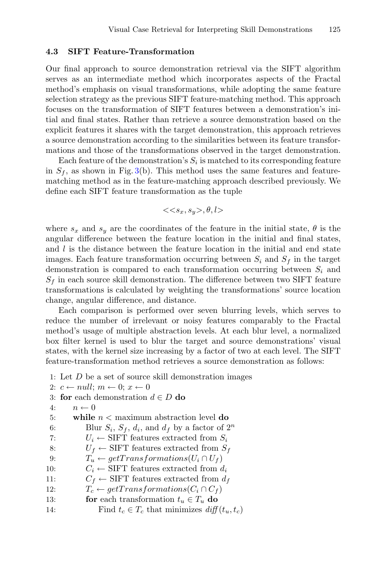#### **4.3 SIFT Feature-Transformation**

Our final approach to source demonstration retrieval via the SIFT algorithm serves as an intermediate method which incorporates aspects of the Fractal method's emphasis on visual transformations, while adopting the same feature selection strategy as the previous SIFT feature-matching method. This approach focuses on the transformation of SIFT features between a demonstration's initial and final states. Rather than retrieve a source demonstration based on the explicit features it shares with the target demonstration, this approach retrieves a source demonstration according to the similarities between its feature transformations and those of the transformations observed in the target demonstration.

Each feature of the demonstration's  $S_i$  is matched to its corresponding feature in  $S_f$ , as shown in Fig. [3\(](#page-9-0)b). This method uses the same features and featurematching method as in the feature-matching approach described previously. We define each SIFT feature transformation as the tuple

$$
<,\theta,l>
$$

where  $s_x$  and  $s_y$  are the coordinates of the feature in the initial state,  $\theta$  is the angular difference between the feature location in the initial and final states, and  $l$  is the distance between the feature location in the initial and end state images. Each feature transformation occurring between  $S_i$  and  $S_f$  in the target demonstration is compared to each transformation occurring between  $S_i$  and  $S_f$  in each source skill demonstration. The difference between two SIFT feature transformations is calculated by weighting the transformations' source location change, angular difference, and distance.

Each comparison is performed over seven blurring levels, which serves to reduce the number of irrelevant or noisy features comparably to the Fractal method's usage of multiple abstraction levels. At each blur level, a normalized box filter kernel is used to blur the target and source demonstrations' visual states, with the kernel size increasing by a factor of two at each level. The SIFT feature-transformation method retrieves a source demonstration as follows:

```
1: Let D be a set of source skill demonstration images
```
- 2:  $c \leftarrow null; m \leftarrow 0; x \leftarrow 0$
- 3: **for** each demonstration  $d \in D$  **do**<br>4:  $n \leftarrow 0$

```
4: n \leftarrow 0<br>5: while
```

```
while n < maximum abstraction level do
```

```
6: Blur S_i, S_f, d_i, and d_f by a factor of 2^n
```

```
7: U_i \leftarrow \text{SIFT} features extracted from S_i<br>8: U_f \leftarrow \text{SIFT} features extracted from S
```

```
8: U_f \leftarrow \text{SIFT} features extracted from S_f<br>9: T_v \leftarrow \text{getTrans} \text{formations}(U_i \cap U_f)
```

```
9: T_u \leftarrow getTransformations(U_i \cap U_f)<br>10: C_i \leftarrow SIFT features extracted from a
```
- 10:  $C_i \leftarrow \text{SIFT}$  features extracted from  $d_i$ <br>11:  $C_f \leftarrow \text{SIFT}$  features extracted from d
- 11:  $C_f \leftarrow \text{SIFT}$  features extracted from  $d_f$ <br>12:  $T_c \leftarrow \text{getTrans}$  formations  $(C_i \cap C_f)$
- 12:  $T_c \leftarrow getTransformations(C_i \cap C_f)$ <br>13: **for** each transformation  $t_u \in T_u$  do
- 13: **for** each transformation  $t_u \in T_u$  **do**<br>14: **Find**  $t_c \in T_c$  that minimizes  $diff$
- Find  $t_c \in T_c$  that minimizes  $diff(t_u, t_c)$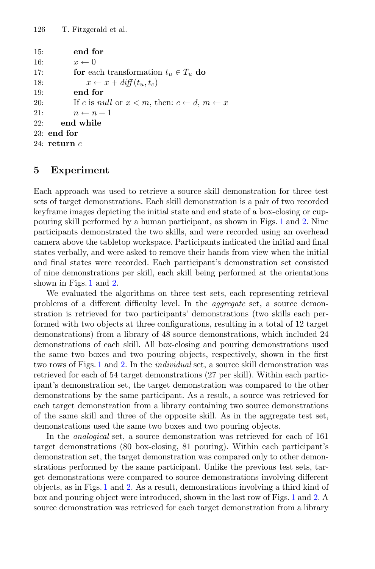```
15: end for
16: x \leftarrow 0<br>17: for ea
17: for each transformation t_u \in T_u do<br>18: x \leftarrow x + \text{diff}(t_u, t_c)18: x \leftarrow x + \text{diff}(t_u, t_c)<br>19: end for
                end for
20: If c is null or x < m, then: c \leftarrow d, m \leftarrow x<br>21: n \leftarrow n + 121: n \leftarrow n + 1<br>22: end while
           end while
23: end for
24: return c
```
## **5 Experiment**

Each approach was used to retrieve a source skill demonstration for three test sets of target demonstrations. Each skill demonstration is a pair of two recorded keyframe images depicting the initial state and end state of a box-closing or cuppouring skill performed by a human participant, as shown in Figs. [1](#page-2-0) and [2.](#page-3-0) Nine participants demonstrated the two skills, and were recorded using an overhead camera above the tabletop workspace. Participants indicated the initial and final states verbally, and were asked to remove their hands from view when the initial and final states were recorded. Each participant's demonstration set consisted of nine demonstrations per skill, each skill being performed at the orientations shown in Figs. [1](#page-2-0) and [2.](#page-3-0)

We evaluated the algorithms on three test sets, each representing retrieval problems of a different difficulty level. In the *aggregate* set, a source demonstration is retrieved for two participants' demonstrations (two skills each performed with two objects at three configurations, resulting in a total of 12 target demonstrations) from a library of 48 source demonstrations, which included 24 demonstrations of each skill. All box-closing and pouring demonstrations used the same two boxes and two pouring objects, respectively, shown in the first two rows of Figs. [1](#page-2-0) and [2.](#page-3-0) In the *individual* set, a source skill demonstration was retrieved for each of 54 target demonstrations (27 per skill). Within each participant's demonstration set, the target demonstration was compared to the other demonstrations by the same participant. As a result, a source was retrieved for each target demonstration from a library containing two source demonstrations of the same skill and three of the opposite skill. As in the aggregate test set, demonstrations used the same two boxes and two pouring objects.

In the *analogical* set, a source demonstration was retrieved for each of 161 target demonstrations (80 box-closing, 81 pouring). Within each participant's demonstration set, the target demonstration was compared only to other demonstrations performed by the same participant. Unlike the previous test sets, target demonstrations were compared to source demonstrations involving different objects, as in Figs. [1](#page-2-0) and [2.](#page-3-0) As a result, demonstrations involving a third kind of box and pouring object were introduced, shown in the last row of Figs. [1](#page-2-0) and [2.](#page-3-0) A source demonstration was retrieved for each target demonstration from a library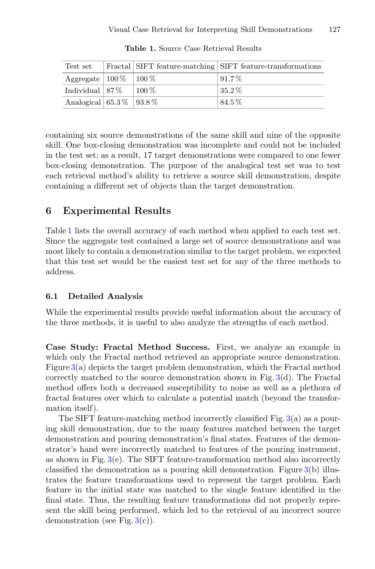| Test set                      |         | Fractal SIFT feature-matching SIFT feature-transformations |
|-------------------------------|---------|------------------------------------------------------------|
| Aggregate   $100\%$   $100\%$ |         | $91.7\%$                                                   |
| Individual $ 87\% $           | $100\%$ | $35.2\%$                                                   |
| Analogical $ 65.3\% 93.8\%$   |         | 84.5%                                                      |

<span id="page-8-0"></span>**Table 1.** Source Case Retrieval Results

containing six source demonstrations of the same skill and nine of the opposite skill. One box-closing demonstration was incomplete and could not be included in the test set; as a result, 17 target demonstrations were compared to one fewer box-closing demonstration. The purpose of the analogical test set was to test each retrieval method's ability to retrieve a source skill demonstration, despite containing a different set of objects than the target demonstration.

## **6 Experimental Results**

Table [1](#page-8-0) lists the overall accuracy of each method when applied to each test set. Since the aggregate test contained a large set of source demonstrations and was most likely to contain a demonstration similar to the target problem, we expected that this test set would be the easiest test set for any of the three methods to address.

#### **6.1 Detailed Analysis**

While the experimental results provide useful information about the accuracy of the three methods, it is useful to also analyze the strengths of each method.

**Case Study: Fractal Method Success.** First, we analyze an example in which only the Fractal method retrieved an appropriate source demonstration. Figure [3\(](#page-9-0)a) depicts the target problem demonstration, which the Fractal method correctly matched to the source demonstration shown in Fig.  $3(d)$  $3(d)$ . The Fractal method offers both a decreased susceptibility to noise as well as a plethora of fractal features over which to calculate a potential match (beyond the transformation itself).

The SIFT feature-matching method incorrectly classified Fig. [3\(](#page-9-0)a) as a pouring skill demonstration, due to the many features matched between the target demonstration and pouring demonstration's final states. Features of the demonstrator's hand were incorrectly matched to features of the pouring instrument, as shown in Fig.  $3(e)$  $3(e)$ . The SIFT feature-transformation method also incorrectly classified the demonstration as a pouring skill demonstration. Figure  $3(b)$  $3(b)$  illustrates the feature transformations used to represent the target problem. Each feature in the initial state was matched to the single feature identified in the final state. Thus, the resulting feature transformations did not properly represent the skill being performed, which led to the retrieval of an incorrect source demonstration (see Fig.  $3(c)$  $3(c)$ ).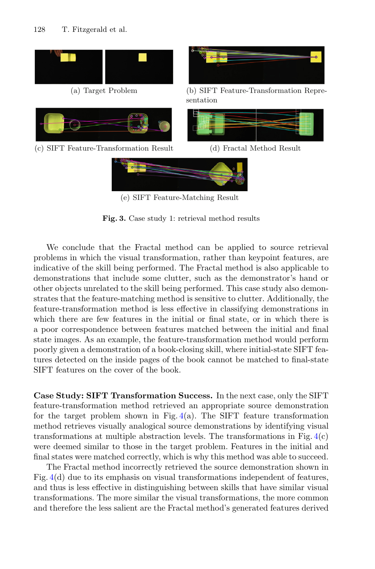

<span id="page-9-0"></span>**Fig. 3.** Case study 1: retrieval method results

We conclude that the Fractal method can be applied to source retrieval problems in which the visual transformation, rather than keypoint features, are indicative of the skill being performed. The Fractal method is also applicable to demonstrations that include some clutter, such as the demonstrator's hand or other objects unrelated to the skill being performed. This case study also demonstrates that the feature-matching method is sensitive to clutter. Additionally, the feature-transformation method is less effective in classifying demonstrations in which there are few features in the initial or final state, or in which there is a poor correspondence between features matched between the initial and final state images. As an example, the feature-transformation method would perform poorly given a demonstration of a book-closing skill, where initial-state SIFT features detected on the inside pages of the book cannot be matched to final-state SIFT features on the cover of the book.

**Case Study: SIFT Transformation Success.** In the next case, only the SIFT feature-transformation method retrieved an appropriate source demonstration for the target problem shown in Fig.  $4(a)$  $4(a)$ . The SIFT feature transformation method retrieves visually analogical source demonstrations by identifying visual transformations at multiple abstraction levels. The transformations in Fig. [4\(](#page-10-0)c) were deemed similar to those in the target problem. Features in the initial and final states were matched correctly, which is why this method was able to succeed.

The Fractal method incorrectly retrieved the source demonstration shown in Fig. [4\(](#page-10-0)d) due to its emphasis on visual transformations independent of features, and thus is less effective in distinguishing between skills that have similar visual transformations. The more similar the visual transformations, the more common and therefore the less salient are the Fractal method's generated features derived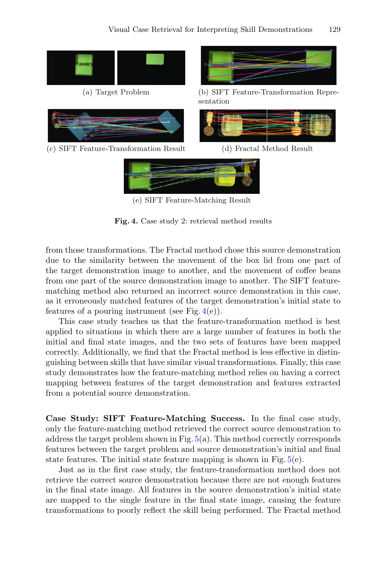

<span id="page-10-0"></span>**Fig. 4.** Case study 2: retrieval method results

from those transformations. The Fractal method chose this source demonstration due to the similarity between the movement of the box lid from one part of the target demonstration image to another, and the movement of coffee beans from one part of the source demonstration image to another. The SIFT featurematching method also returned an incorrect source demonstration in this case, as it erroneously matched features of the target demonstration's initial state to features of a pouring instrument (see Fig.  $4(e)$  $4(e)$ ).

This case study teaches us that the feature-transformation method is best applied to situations in which there are a large number of features in both the initial and final state images, and the two sets of features have been mapped correctly. Additionally, we find that the Fractal method is less effective in distinguishing between skills that have similar visual transformations. Finally, this case study demonstrates how the feature-matching method relies on having a correct mapping between features of the target demonstration and features extracted from a potential source demonstration.

**Case Study: SIFT Feature-Matching Success.** In the final case study, only the feature-matching method retrieved the correct source demonstration to address the target problem shown in Fig. [5\(](#page-11-0)a). This method correctly corresponds features between the target problem and source demonstration's initial and final state features. The initial state feature mapping is shown in Fig.  $5(e)$  $5(e)$ .

Just as in the first case study, the feature-transformation method does not retrieve the correct source demonstration because there are not enough features in the final state image. All features in the source demonstration's initial state are mapped to the single feature in the final state image, causing the feature transformations to poorly reflect the skill being performed. The Fractal method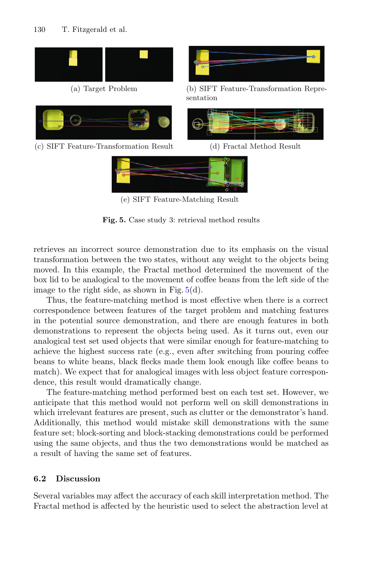

<span id="page-11-0"></span>**Fig. 5.** Case study 3: retrieval method results

retrieves an incorrect source demonstration due to its emphasis on the visual transformation between the two states, without any weight to the objects being moved. In this example, the Fractal method determined the movement of the box lid to be analogical to the movement of coffee beans from the left side of the image to the right side, as shown in Fig.  $5(d)$  $5(d)$ .

Thus, the feature-matching method is most effective when there is a correct correspondence between features of the target problem and matching features in the potential source demonstration, and there are enough features in both demonstrations to represent the objects being used. As it turns out, even our analogical test set used objects that were similar enough for feature-matching to achieve the highest success rate (e.g., even after switching from pouring coffee beans to white beans, black flecks made them look enough like coffee beans to match). We expect that for analogical images with less object feature correspondence, this result would dramatically change.

The feature-matching method performed best on each test set. However, we anticipate that this method would not perform well on skill demonstrations in which irrelevant features are present, such as clutter or the demonstrator's hand. Additionally, this method would mistake skill demonstrations with the same feature set; block-sorting and block-stacking demonstrations could be performed using the same objects, and thus the two demonstrations would be matched as a result of having the same set of features.

#### **6.2 Discussion**

Several variables may affect the accuracy of each skill interpretation method. The Fractal method is affected by the heuristic used to select the abstraction level at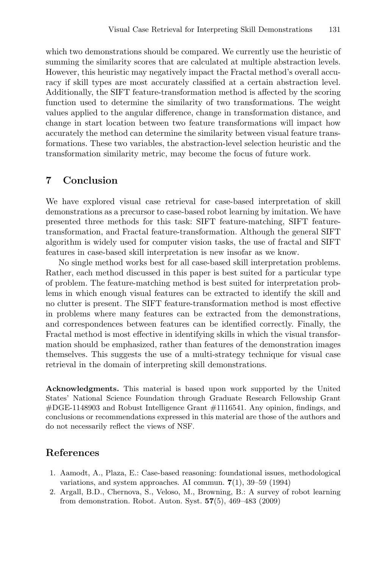which two demonstrations should be compared. We currently use the heuristic of summing the similarity scores that are calculated at multiple abstraction levels. However, this heuristic may negatively impact the Fractal method's overall accuracy if skill types are most accurately classified at a certain abstraction level. Additionally, the SIFT feature-transformation method is affected by the scoring function used to determine the similarity of two transformations. The weight values applied to the angular difference, change in transformation distance, and change in start location between two feature transformations will impact how accurately the method can determine the similarity between visual feature transformations. These two variables, the abstraction-level selection heuristic and the transformation similarity metric, may become the focus of future work.

## **7 Conclusion**

We have explored visual case retrieval for case-based interpretation of skill demonstrations as a precursor to case-based robot learning by imitation. We have presented three methods for this task: SIFT feature-matching, SIFT featuretransformation, and Fractal feature-transformation. Although the general SIFT algorithm is widely used for computer vision tasks, the use of fractal and SIFT features in case-based skill interpretation is new insofar as we know.

No single method works best for all case-based skill interpretation problems. Rather, each method discussed in this paper is best suited for a particular type of problem. The feature-matching method is best suited for interpretation problems in which enough visual features can be extracted to identify the skill and no clutter is present. The SIFT feature-transformation method is most effective in problems where many features can be extracted from the demonstrations, and correspondences between features can be identified correctly. Finally, the Fractal method is most effective in identifying skills in which the visual transformation should be emphasized, rather than features of the demonstration images themselves. This suggests the use of a multi-strategy technique for visual case retrieval in the domain of interpreting skill demonstrations.

**Acknowledgments.** This material is based upon work supported by the United States' National Science Foundation through Graduate Research Fellowship Grant #DGE-1148903 and Robust Intelligence Grant #1116541. Any opinion, findings, and conclusions or recommendations expressed in this material are those of the authors and do not necessarily reflect the views of NSF.

## **References**

- <span id="page-12-1"></span>1. Aamodt, A., Plaza, E.: Case-based reasoning: foundational issues, methodological variations, and system approaches. AI commun. **7**(1), 39–59 (1994)
- <span id="page-12-0"></span>2. Argall, B.D., Chernova, S., Veloso, M., Browning, B.: A survey of robot learning from demonstration. Robot. Auton. Syst. **57**(5), 469–483 (2009)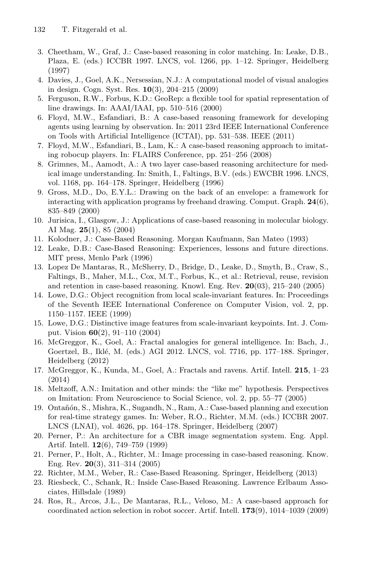- <span id="page-13-14"></span>3. Cheetham, W., Graf, J.: Case-based reasoning in color matching. In: Leake, D.B., Plaza, E. (eds.) ICCBR 1997. LNCS, vol. 1266, pp. 1–12. Springer, Heidelberg (1997)
- <span id="page-13-12"></span>4. Davies, J., Goel, A.K., Nersessian, N.J.: A computational model of visual analogies in design. Cogn. Syst. Res. **10**(3), 204–215 (2009)
- <span id="page-13-9"></span>5. Ferguson, R.W., Forbus, K.D.: GeoRep: a flexible tool for spatial representation of line drawings. In: AAAI/IAAI, pp. 510–516 (2000)
- <span id="page-13-1"></span>6. Floyd, M.W., Esfandiari, B.: A case-based reasoning framework for developing agents using learning by observation. In: 2011 23rd IEEE International Conference on Tools with Artificial Intelligence (ICTAI), pp. 531–538. IEEE (2011)
- <span id="page-13-2"></span>7. Floyd, M.W., Esfandiari, B., Lam, K.: A case-based reasoning approach to imitating robocup players. In: FLAIRS Conference, pp. 251–256 (2008)
- <span id="page-13-10"></span>8. Grimnes, M., Aamodt, A.: A two layer case-based reasoning architecture for medical image understanding. In: Smith, I., Faltings, B.V. (eds.) EWCBR 1996. LNCS, vol. 1168, pp. 164–178. Springer, Heidelberg (1996)
- <span id="page-13-15"></span>9. Gross, M.D., Do, E.Y.L.: Drawing on the back of an envelope: a framework for interacting with application programs by freehand drawing. Comput. Graph.  $24(6)$ , 835–849 (2000)
- <span id="page-13-13"></span>10. Jurisica, I., Glasgow, J.: Applications of case-based reasoning in molecular biology. AI Mag. **25**(1), 85 (2004)
- <span id="page-13-3"></span>11. Kolodner, J.: Case-Based Reasoning. Morgan Kaufmann, San Mateo (1993)
- 12. Leake, D.B.: Case-Based Reasoning: Experiences, lessons and future directions. MIT press, Menlo Park (1996)
- <span id="page-13-4"></span>13. Lopez De Mantaras, R., McSherry, D., Bridge, D., Leake, D., Smyth, B., Craw, S., Faltings, B., Maher, M.L., Cox, M.T., Forbus, K., et al.: Retrieval, reuse, revision and retention in case-based reasoning. Knowl. Eng. Rev. **20**(03), 215–240 (2005)
- <span id="page-13-18"></span>14. Lowe, D.G.: Object recognition from local scale-invariant features. In: Proceedings of the Seventh IEEE International Conference on Computer Vision, vol. 2, pp. 1150–1157. IEEE (1999)
- <span id="page-13-19"></span>15. Lowe, D.G.: Distinctive image features from scale-invariant keypoints. Int. J. Comput. Vision **60**(2), 91–110 (2004)
- <span id="page-13-20"></span>16. McGreggor, K., Goel, A.: Fractal analogies for general intelligence. In: Bach, J., Goertzel, B., Iklé, M. (eds.) AGI 2012. LNCS, vol. 7716, pp. 177–188. Springer, Heidelberg (2012)
- <span id="page-13-17"></span>17. McGreggor, K., Kunda, M., Goel, A.: Fractals and ravens. Artif. Intell. **215**, 1–23 (2014)
- <span id="page-13-0"></span>18. Meltzoff, A.N.: Imitation and other minds: the "like me" hypothesis. Perspectives on Imitation: From Neuroscience to Social Science, vol. 2, pp. 55–77 (2005)
- <span id="page-13-7"></span>19. Ontañón, S., Mishra, K., Sugandh, N., Ram, A.: Case-based planning and execution for real-time strategy games. In: Weber, R.O., Richter, M.M. (eds.) ICCBR 2007. LNCS (LNAI), vol. 4626, pp. 164–178. Springer, Heidelberg (2007)
- <span id="page-13-11"></span>20. Perner, P.: An architecture for a CBR image segmentation system. Eng. Appl. Artif. Intell. **12**(6), 749–759 (1999)
- <span id="page-13-16"></span>21. Perner, P., Holt, A., Richter, M.: Image processing in case-based reasoning. Know. Eng. Rev. **20**(3), 311–314 (2005)
- <span id="page-13-5"></span>22. Richter, M.M., Weber, R.: Case-Based Reasoning. Springer, Heidelberg (2013)
- <span id="page-13-6"></span>23. Riesbeck, C., Schank, R.: Inside Case-Based Reasoning. Lawrence Erlbaum Associates, Hillsdale (1989)
- <span id="page-13-8"></span>24. Ros, R., Arcos, J.L., De Mantaras, R.L., Veloso, M.: A case-based approach for coordinated action selection in robot soccer. Artif. Intell. **173**(9), 1014–1039 (2009)